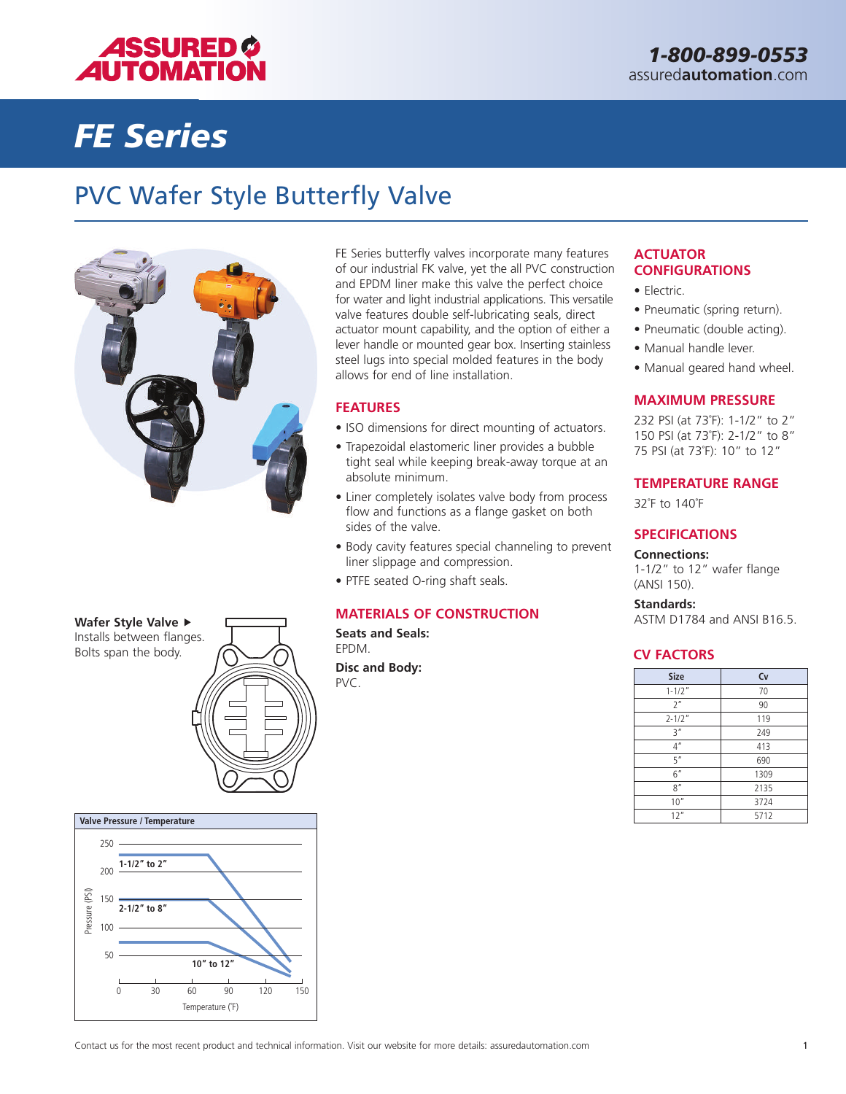

# *FE Series*

### PVC Wafer Style Butterfly Valve



FE Series butterfly valves incorporate many features of our industrial FK valve, yet the all PVC construction and EPDM liner make this valve the perfect choice for water and light industrial applications. This versatile valve features double self-lubricating seals, direct actuator mount capability, and the option of either a lever handle or mounted gear box. Inserting stainless steel lugs into special molded features in the body allows for end of line installation.

#### **FEATURES**

- ISO dimensions for direct mounting of actuators.
- Trapezoidal elastomeric liner provides a bubble tight seal while keeping break-away torque at an absolute minimum.
- Liner completely isolates valve body from process flow and functions as a flange gasket on both sides of the valve.
- Body cavity features special channeling to prevent liner slippage and compression.
- PTFE seated O-ring shaft seals.

#### **MATERIALS OF CONSTRUCTION**

**Seats and Seals:** EPDM.

**Disc and Body:**

#### **ACTUATOR CONFIGURATIONS**

- Electric.
- Pneumatic (spring return).
- Pneumatic (double acting).
- Manual handle lever.
- Manual geared hand wheel.

#### **MAXIMUM PRESSURE**

232 PSI (at 73˚F): 1-1/2" to 2" 150 PSI (at 73˚F): 2-1/2" to 8" 75 PSI (at 73˚F): 10" to 12"

#### **TEMPERATURE RANGE**

32˚F to 140˚F

#### **SPECIFICATIONS**

**Connections:** 1-1/2" to 12" wafer flange

(ANSI 150).

**Standards:** ASTM D1784 and ANSI B16.5.

#### **CV FACTORS**

| Disc and Body:<br>PVC. | <b>Size</b>    | Cv   |
|------------------------|----------------|------|
|                        | $1 - 1/2"$     | 70   |
|                        | 2 <sup>n</sup> | 90   |
|                        | $2 - 1/2"$     | 119  |
|                        | 3''            | 249  |
|                        | 4 <sup>n</sup> | 413  |
|                        | 5"             | 690  |
|                        | 6''            | 1309 |
|                        | 8''            | 2135 |
|                        | 10''           | 3724 |
|                        | 12"            | 5712 |





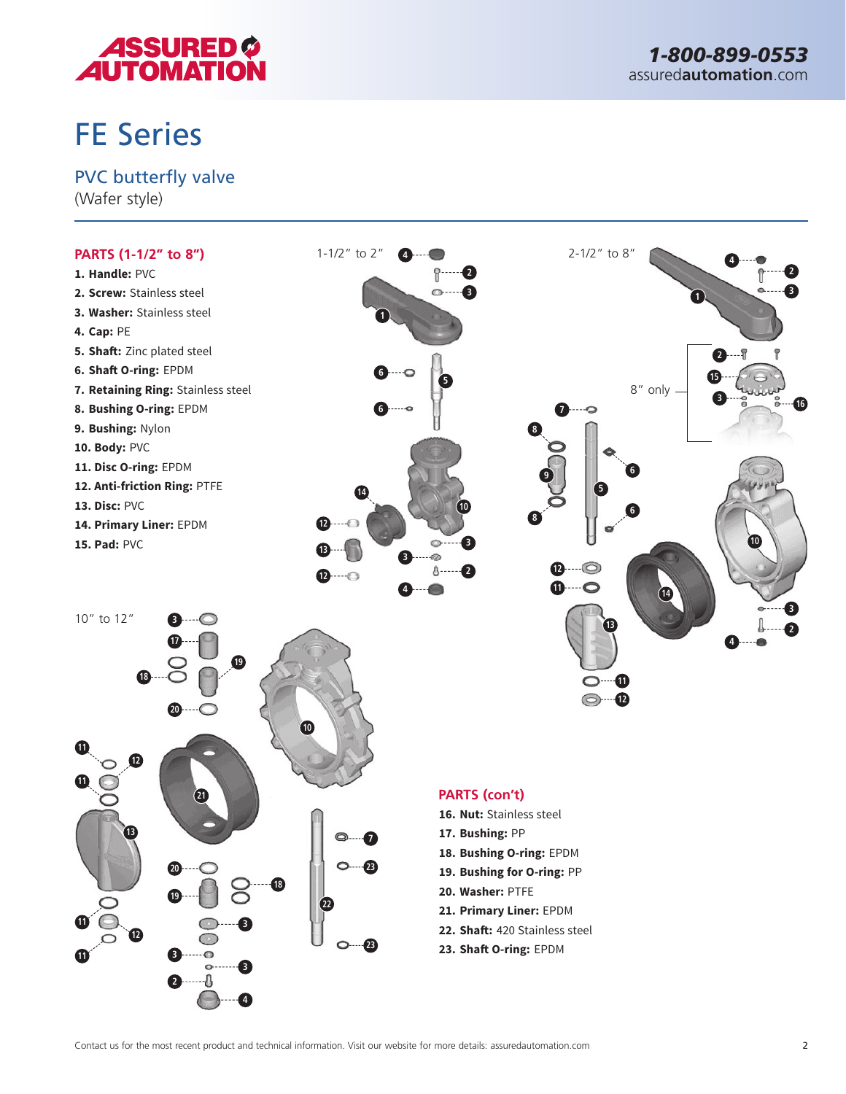

# FE Series

### PVC butterfly valve

(Wafer style)

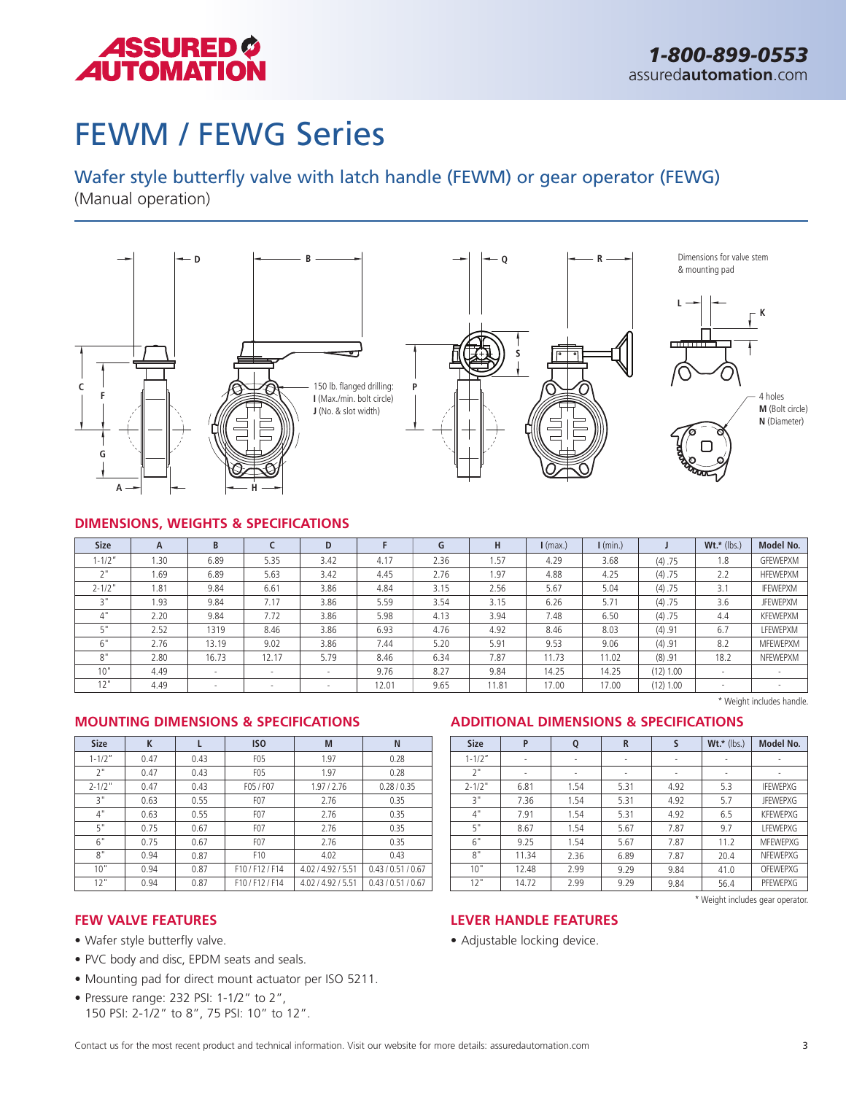

# FEWM / FEWG Series

### Wafer style butterfly valve with latch handle (FEWM) or gear operator (FEWG)

(Manual operation)



#### **DIMENSIONS, WEIGHTS & SPECIFICATIONS**

| <b>Size</b>         | A    | B                        |                          | D      |       | G    | н     | $l$ (max.) | $\mathsf{I}$ (min.) |           | $Wt.*$ (lbs.) | Model No.       |
|---------------------|------|--------------------------|--------------------------|--------|-------|------|-------|------------|---------------------|-----------|---------------|-----------------|
| $1 - 1/2$ "         | .30  | 6.89                     | 5.35                     | 3.42   | 4.17  | 2.36 | 1.57  | 4.29       | 3.68                | (4) .75   | 1.8           | GFEWEPXM        |
| $\sim$ $\mathbf{u}$ | 1.69 | 6.89                     | 5.63                     | 3.42   | 4.45  | 2.76 | 1.97  | 4.88       | 4.25                | (4) .75   | 2.2           | <b>HFEWEPXM</b> |
| $2 - 1/2"$          | 1.81 | 9.84                     | 6.61                     | 3.86   | 4.84  | 3.15 | 2.56  | 5.67       | 5.04                | (4) .75   | 3.1           | <b>IFEWEPXM</b> |
| יי כ                | 1.93 | 9.84                     | 7.17                     | 3.86   | 5.59  | 3.54 | 3.15  | 6.26       | 5.71                | (4) .75   | 3.6           | <b>JFEWEPXM</b> |
| 4"                  | 2.20 | 9.84                     | 7.72                     | 3.86   | 5.98  | 4.13 | 3.94  | 7.48       | 6.50                | (4) .75   | 4.4           | <b>KFEWEPXM</b> |
| c "                 | 2.52 | 1319                     | 8.46                     | 3.86   | 6.93  | 4.76 | 4.92  | 8.46       | 8.03                | (4) .91   | 6.7           | LFEWEPXM        |
| $\sim$ 11<br>b.     | 2.76 | 13.19                    | 9.02                     | 3.86   | 7.44  | 5.20 | 5.91  | 9.53       | 9.06                | (4) .91   | 8.2           | <b>MFEWEPXM</b> |
| O <sub>H</sub>      | 2.80 | 16.73                    | 12.17                    | 5.79   | 8.46  | 6.34 | 7.87  | 11.73      | 11.02               | (8) .91   | 18.2          | NFEWEPXM        |
| 10"                 | 4.49 | $\overline{\phantom{a}}$ | $\overline{\phantom{a}}$ | $\sim$ | 9.76  | 8.27 | 9.84  | 14.25      | 14.25               | (12) 1.00 |               |                 |
| 12"                 | 4.49 | $\overline{\phantom{a}}$ |                          |        | 12.01 | 9.65 | 11.81 | 17.00      | 17.00               | (12) 1.00 |               |                 |

#### **MOUNTING DIMENSIONS & SPECIFICATIONS ADDITIONAL DIMENSIONS & SPECIFICATIONS**

| <b>Size</b> | K    |      | IS <sub>0</sub>  | M              | N                  |
|-------------|------|------|------------------|----------------|--------------------|
| $1 - 1/2"$  | 0.47 | 0.43 | F <sub>0</sub> 5 | 1.97           | 0.28               |
| 2"          | 0.47 | 0.43 | F <sub>0</sub> 5 | 1.97           | 0.28               |
| $2 - 1/2$ " | 0.47 | 0.43 | F05 / F07        | 1.97/2.76      | 0.28 / 0.35        |
| 3"          | 0.63 | 0.55 | F <sub>0</sub> 7 | 2.76           | 0.35               |
| 4"          | 0.63 | 0.55 | F <sub>0</sub> 7 | 2.76           | 0.35               |
| 5"          | 0.75 | 0.67 | F <sub>0</sub> 7 | 2.76           | 0.35               |
| 6"          | 0.75 | 0.67 | F <sub>0</sub> 7 | 2.76           | 0.35               |
| 8"          | 0.94 | 0.87 | F10              | 4.02           | 0.43               |
| 10"         | 0.94 | 0.87 | F10/F12/F14      | 4.02/4.92/5.51 | 0.43 / 0.51 / 0.67 |
| 12"         | 0.94 | 0.87 | F10/F12/F14      | 4.02/4.92/5.51 | 0.43 / 0.51 / 0.67 |

| <b>Size</b> | P                        | Q    | R    | S    | $Wt.*$ (lbs.) | Model No.                        |
|-------------|--------------------------|------|------|------|---------------|----------------------------------|
| $1 - 1/2"$  | $\overline{\phantom{a}}$ | ٠    | ۰    | ٠    |               |                                  |
| 2"          | ٠                        | ٠    | ۰    | ٠    | ٠             | ٠                                |
| $2 - 1/2"$  | 6.81                     | 1.54 | 5.31 | 4.92 | 5.3           | <b>IFEWEPXG</b>                  |
| 3"          | 7.36                     | 1.54 | 5.31 | 4.92 | 5.7           | <b>JFEWEPXG</b>                  |
| 4"          | 7.91                     | 1.54 | 5.31 | 4.92 | 6.5           | <b>KFFWEPXG</b>                  |
| 5"          | 8.67                     | 1.54 | 5.67 | 7.87 | 9.7           | <b>LFEWEPXG</b>                  |
| 6"          | 9.25                     | 1.54 | 5.67 | 7.87 | 11.2          | <b>MFEWEPXG</b>                  |
| 8"          | 11.34                    | 2.36 | 6.89 | 7.87 | 20.4          | NFEWEPXG                         |
| 10"         | 12.48                    | 2.99 | 9.29 | 9.84 | 41.0          | OFEWEPXG                         |
| 12"         | 14.72                    | 2.99 | 9.29 | 9.84 | 56.4          | PFEWEPXG                         |
|             |                          |      |      |      |               | * Weight includes gear operator. |

#### **FEW VALVE FEATURES**

- Wafer style butterfly valve.
- PVC body and disc, EPDM seats and seals.
- Mounting pad for direct mount actuator per ISO 5211.
- Pressure range: 232 PSI: 1-1/2" to 2", 150 PSI: 2-1/2" to 8", 75 PSI: 10" to 12".

#### **LEVER HANDLE FEATURES**

• Adjustable locking device.

\* Weight includes handle.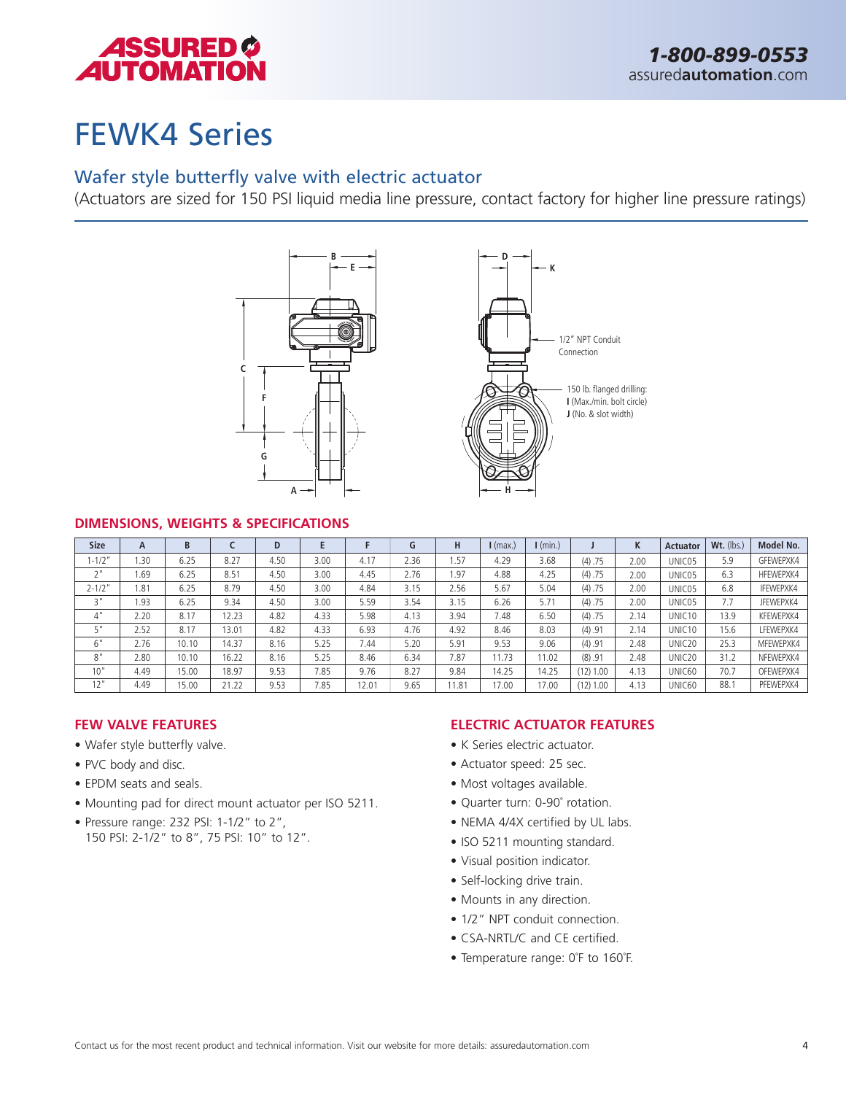

# FEWK4 Series

### Wafer style butterfly valve with electric actuator

(Actuators are sized for 150 PSI liquid media line pressure, contact factory for higher line pressure ratings)





#### **DIMENSIONS, WEIGHTS & SPECIFICATIONS**

| <b>Size</b>           | A    | B     |       | D    |      |       | G    | н     | $l$ (max.) | $I$ (min.) |           | K    | <b>Actuator</b>    | $Wt.$ (lbs.) | Model No. |
|-----------------------|------|-------|-------|------|------|-------|------|-------|------------|------------|-----------|------|--------------------|--------------|-----------|
| $1 - 1/2"$            | .30  | 6.25  | 8.27  | 4.50 | 3.00 | 4.17  | 2.36 | .57   | 4.29       | 3.68       | (4) .75   | 2.00 | UNIC05             | 5.9          | GFEWEPXK4 |
| $\neg$ $\blacksquare$ | 1.69 | 6.25  | 8.51  | 4.50 | 3.00 | 4.45  | 2.76 | i.97  | 4.88       | 4.25       | (4) .75   | 2.00 | UNIC05             | 6.3          | HFEWEPXK4 |
| $2 - 1/2"$            | 1.81 | 6.25  | 8.79  | 4.50 | 3.00 | 4.84  | 3.15 | 2.56  | 5.67       | 5.04       | (4) .75   | 2.00 | UNIC05             | 6.8          | IFEWEPXK4 |
| 3 <sub>"</sub>        | 1.93 | 6.25  | 9.34  | 4.50 | 3.00 | 5.59  | 3.54 | 3.15  | 6.26       | 5.71       | (4) .75   | 2.00 | UNIC05             | 7.7          | JFEWEPXK4 |
| 4"                    | 2.20 | 8.17  | 12.23 | 4.82 | 4.33 | 5.98  | 4.13 | 3.94  | 7.48       | 6.50       | (4) .75   | 2.14 | UNIC10             | 13.9         | KFEWEPXK4 |
| τ"                    | 2.52 | 8.17  | 13.01 | 4.82 | 4.33 | 6.93  | 4.76 | 4.92  | 8.46       | 8.03       | (4) .91   | 2.14 | UNIC <sub>10</sub> | 15.6         | LFEWEPXK4 |
| $\sim$ 11<br>b        | 2.76 | 10.10 | 14.37 | 8.16 | 5.25 | 7.44  | 5.20 | 5.91  | 9.53       | 9.06       | (4) .91   | 2.48 | UNIC <sub>20</sub> | 25.3         | MFEWEPXK4 |
| 8"                    | 2.80 | 10.10 | 16.22 | 8.16 | 5.25 | 8.46  | 6.34 | 7.87  | 11.73      | 11.02      | (8) .91   | 2.48 | UNIC <sub>20</sub> | 31.2         | NFEWEPXK4 |
| 10"                   | 4.49 | 15.00 | 18.97 | 9.53 | 7.85 | 9.76  | 8.27 | 9.84  | 14.25      | 14.25      | (12) 1.00 | 4.13 | UNIC60             | 70.7         | OFEWEPXK4 |
| 12"                   | 4.49 | 15.00 | 21.22 | 9.53 | 7.85 | 12.01 | 9.65 | 11.81 | 17.00      | 17.00      | (12) 1.00 | 4.13 | UNIC60             | 88.7         | PFEWEPXK4 |

#### **FEW VALVE FEATURES**

- Wafer style butterfly valve.
- PVC body and disc.
- EPDM seats and seals.
- Mounting pad for direct mount actuator per ISO 5211.
- Pressure range: 232 PSI: 1-1/2" to 2", 150 PSI: 2-1/2" to 8", 75 PSI: 10" to 12".

- K Series electric actuator.
- Actuator speed: 25 sec.
- Most voltages available.
- Quarter turn: 0-90˚ rotation.
- NEMA 4/4X certified by UL labs.
- ISO 5211 mounting standard.
- Visual position indicator.
- Self-locking drive train.
- Mounts in any direction.
- 1/2" NPT conduit connection.
- CSA-NRTL/C and CE certified.
- Temperature range: 0˚F to 160˚F.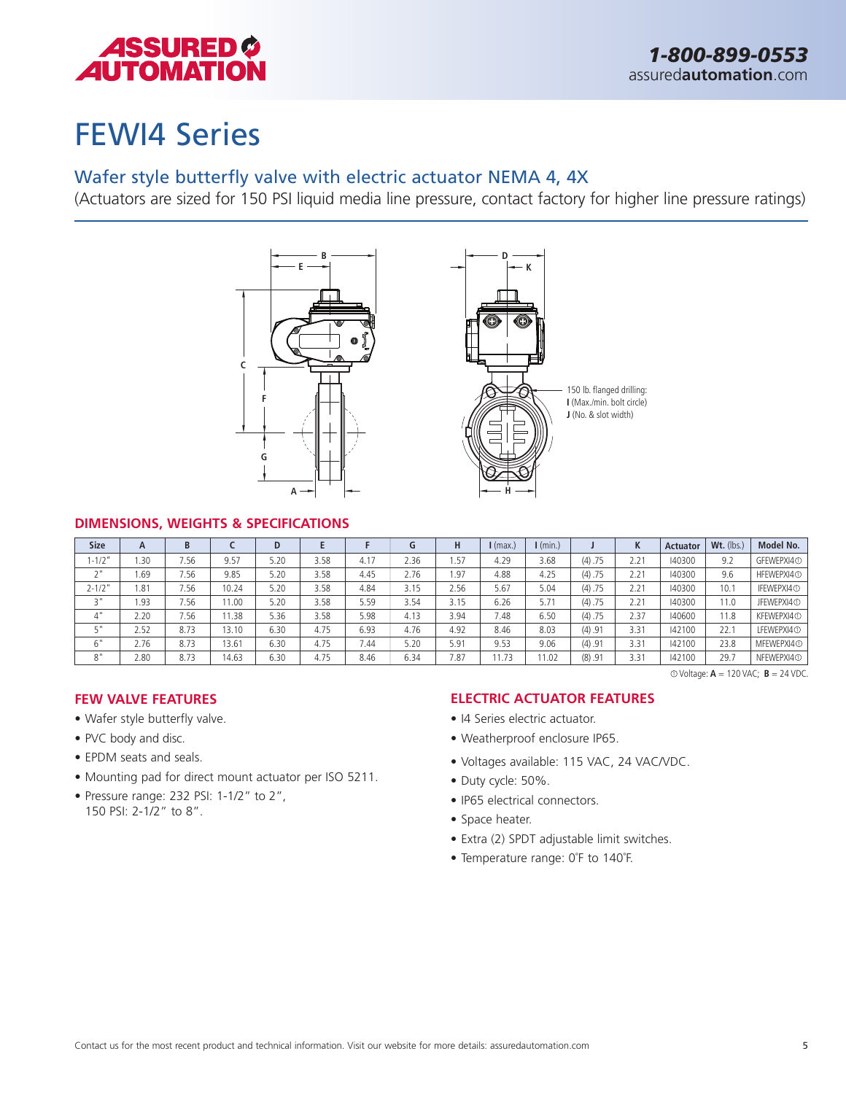

# FEWI4 Series

### Wafer style butterfly valve with electric actuator NEMA 4, 4X

(Actuators are sized for 150 PSI liquid media line pressure, contact factory for higher line pressure ratings)





150 lb. flanged drilling: **I** (Max./min. bolt circle) **J** (No. & slot width)

#### **DIMENSIONS, WEIGHTS & SPECIFICATIONS**

| <b>Size</b> | A    | B    |       | D    |      |      | G    |      | $I$ (max.) | $\mathsf{I}$ (min.) |         | M<br>ĸ | <b>Actuator</b> | Wt. (lbs.) | Model No.              |
|-------------|------|------|-------|------|------|------|------|------|------------|---------------------|---------|--------|-----------------|------------|------------------------|
| $-1/2"$     | .30  | 7.56 | 9.57  | 5.20 | 3.58 | 4.17 | 2.36 | . 57 | 4.29       | 3.68                | (4) .75 | 2.21   | 40300           | 9.2        | GFEWEPXI4 <sup>O</sup> |
| $\sim$ 11   | 69.  | 7.56 | 9.85  | 5.20 | 3.58 | 4.45 | 2.76 | 1.97 | 4.88       | 4.25                | (4) .75 | 2.21   | 40300           | 9.6        | HFEWEPXI4 <sup>O</sup> |
| $2 - 1/2"$  | 1.81 | 7.56 | 10.24 | 5.20 | 3.58 | 4.84 | 3.15 | 2.56 | 5.67       | 5.04                | (4) .75 | 2.21   | 40300           | 10.1       | IFEWEPXI4 <sup>O</sup> |
| יי כ        | 1.93 | 7.56 | 11.00 | 5.20 | 3.58 | 5.59 | 3.54 | 3.15 | 6.26       | 5.71                | (4) .75 | 2.21   | 40300           | 11.0       | JFEWEPXI4 <sup>O</sup> |
| 4"          | 2.20 | 7.56 | 1.38  | 5.36 | 3.58 | 5.98 | 4.13 | 3.94 | 7.48       | 6.50                | (4) .75 | 2.37   | 140600          | 11.8       | KFEWEPXI4 <sup>O</sup> |
| гm          | 2.52 | 8.73 | 13.10 | 6.30 | 4.75 | 6.93 | 4.76 | 4.92 | 8.46       | 8.03                | (4) .91 | 3.31   | 142100          | 22.1       | LFEWEPXI4 <sub>0</sub> |
| 6"          | 2.76 | 8.73 | 13.61 | 6.30 | 4.75 | 7.44 | 5.20 | 5.91 | 9.53       | 9.06                | (4) .91 | 3.31   | 142100          | 23.8       | MFEWEPXI4 <sup>O</sup> |
| 8"          | 2.80 | 8.73 | 14.63 | 6.30 | 4.75 | 8.46 | 6.34 | 7.87 | 1.73       | 1.02                | (8) .91 | 3.31   | 142100          | 29.7       | NFEWEPXI4 <sup>O</sup> |

1 Voltage: **A** = 120 VAC; **B** = 24 VDC.

#### **FEW VALVE FEATURES**

- Wafer style butterfly valve.
- PVC body and disc.
- EPDM seats and seals.
- Mounting pad for direct mount actuator per ISO 5211.
- Pressure range: 232 PSI: 1-1/2" to 2", 150 PSI: 2-1/2" to 8".

- I4 Series electric actuator.
- Weatherproof enclosure IP65.
- Voltages available: 115 VAC, 24 VAC/VDC.
- Duty cycle: 50%.
- IP65 electrical connectors.
- Space heater.
- Extra (2) SPDT adjustable limit switches.
- Temperature range: 0˚F to 140˚F.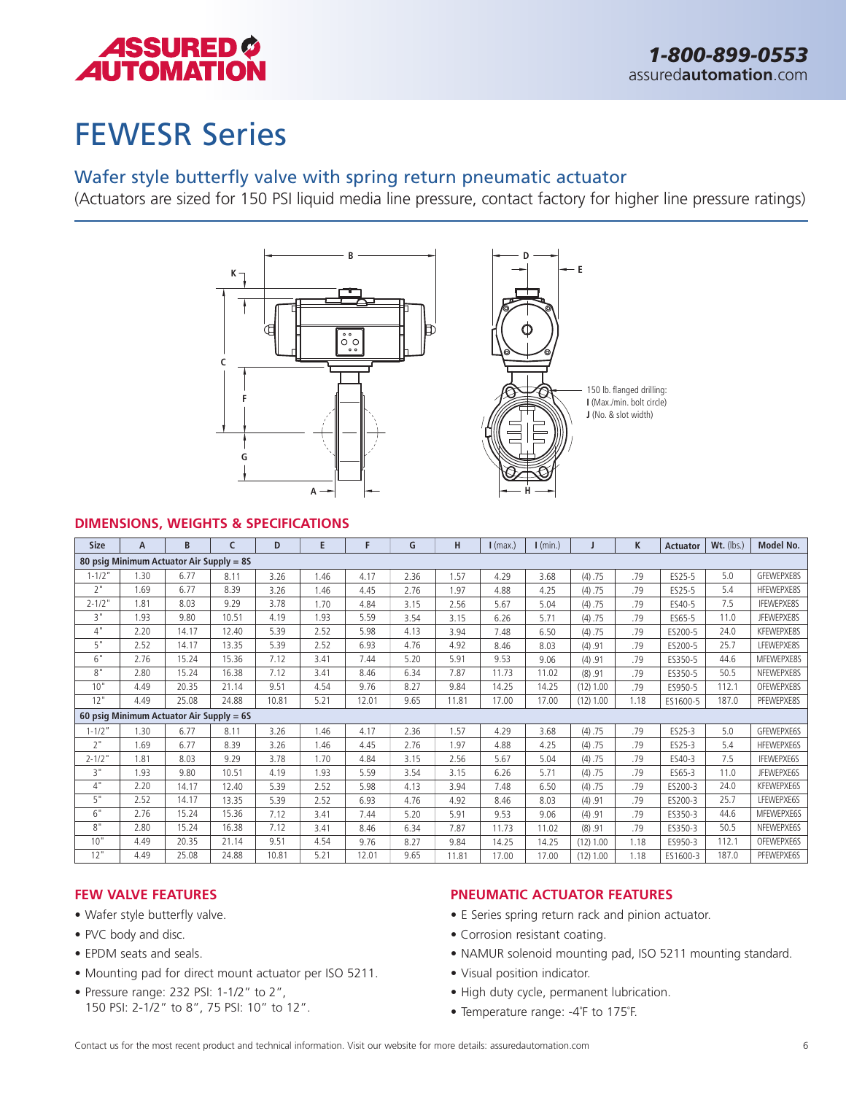

# FEWESR Series

### Wafer style butterfly valve with spring return pneumatic actuator

(Actuators are sized for 150 PSI liquid media line pressure, contact factory for higher line pressure ratings)



#### **DIMENSIONS, WEIGHTS & SPECIFICATIONS**

| <b>Size</b> | A    | B                                        | C     | D     | E    | F     | G    | н     | $I$ (max.) | $\mathsf{I}$ (min.) |             | K    | <b>Actuator</b> | Wt. (lbs.) | Model No.         |
|-------------|------|------------------------------------------|-------|-------|------|-------|------|-------|------------|---------------------|-------------|------|-----------------|------------|-------------------|
|             |      | 80 psig Minimum Actuator Air Supply = 85 |       |       |      |       |      |       |            |                     |             |      |                 |            |                   |
| $1 - 1/2"$  | 1.30 | 6.77                                     | 8.11  | 3.26  | 1.46 | 4.17  | 2.36 | 1.57  | 4.29       | 3.68                | (4) .75     | .79  | ES25-5          | 5.0        | GFEWEPXE8S        |
| 2"          | 1.69 | 6.77                                     | 8.39  | 3.26  | 1.46 | 4.45  | 2.76 | 1.97  | 4.88       | 4.25                | (4) .75     | .79  | ES25-5          | 5.4        | HFEWEPXE8S        |
| $2 - 1/2$ " | 1.81 | 8.03                                     | 9.29  | 3.78  | 1.70 | 4.84  | 3.15 | 2.56  | 5.67       | 5.04                | (4) .75     | .79  | ES40-5          | 7.5        | <b>IFFWEPXE8S</b> |
| 3"          | 1.93 | 9.80                                     | 10.51 | 4.19  | 1.93 | 5.59  | 3.54 | 3.15  | 6.26       | 5.71                | (4) .75     | .79  | ES65-5          | 11.0       | JFEWEPXE8S        |
| 4"          | 2.20 | 14.17                                    | 12.40 | 5.39  | 2.52 | 5.98  | 4.13 | 3.94  | 7.48       | 6.50                | (4) .75     | .79  | ES200-5         | 24.0       | KFEWEPXE8S        |
| 5"          | 2.52 | 14.17                                    | 13.35 | 5.39  | 2.52 | 6.93  | 4.76 | 4.92  | 8.46       | 8.03                | (4) .91     | .79  | ES200-5         | 25.7       | LFEWEPXE8S        |
| 6"          | 2.76 | 15.24                                    | 15.36 | 7.12  | 3.41 | 7.44  | 5.20 | 5.91  | 9.53       | 9.06                | (4) .91     | .79  | ES350-5         | 44.6       | MFEWEPXE8S        |
| 8"          | 2.80 | 15.24                                    | 16.38 | 7.12  | 3.41 | 8.46  | 6.34 | 7.87  | 11.73      | 11.02               | (8) .91     | .79  | ES350-5         | 50.5       | NFEWEPXE8S        |
| 10"         | 4.49 | 20.35                                    | 21.14 | 9.51  | 4.54 | 9.76  | 8.27 | 9.84  | 14.25      | 14.25               | $(12)$ 1.00 | .79  | ES950-5         | 112.1      | OFEWEPXE8S        |
| 12"         | 4.49 | 25.08                                    | 24.88 | 10.81 | 5.21 | 12.01 | 9.65 | 11.81 | 17.00      | 17.00               | (12) 1.00   | 1.18 | ES1600-5        | 187.0      | PFEWEPXE8S        |
|             |      | 60 psig Minimum Actuator Air Supply = 6S |       |       |      |       |      |       |            |                     |             |      |                 |            |                   |
| $1 - 1/2"$  | 1.30 | 6.77                                     | 8.11  | 3.26  | 1.46 | 4.17  | 2.36 | 1.57  | 4.29       | 3.68                | (4) .75     | .79  | ES25-3          | 5.0        | GFEWEPXE6S        |
| 2"          | 1.69 | 6.77                                     | 8.39  | 3.26  | 1.46 | 4.45  | 2.76 | 1.97  | 4.88       | 4.25                | (4) .75     | .79  | ES25-3          | 5.4        | HFEWEPXE6S        |
| $2 - 1/2$ " | 1.81 | 8.03                                     | 9.29  | 3.78  | 1.70 | 4.84  | 3.15 | 2.56  | 5.67       | 5.04                | (4) .75     | .79  | ES40-3          | 7.5        | <b>IFEWEPXE6S</b> |
| 3"          | 1.93 | 9.80                                     | 10.51 | 4.19  | 1.93 | 5.59  | 3.54 | 3.15  | 6.26       | 5.71                | (4) .75     | .79  | ES65-3          | 11.0       | JFEWEPXE6S        |
| 4"          | 2.20 | 14.17                                    | 12.40 | 5.39  | 2.52 | 5.98  | 4.13 | 3.94  | 7.48       | 6.50                | (4) .75     | .79  | ES200-3         | 24.0       | KFEWEPXE6S        |
| 5"          | 2.52 | 14.17                                    | 13.35 | 5.39  | 2.52 | 6.93  | 4.76 | 4.92  | 8.46       | 8.03                | (4) .91     | .79  | ES200-3         | 25.7       | LFEWEPXE6S        |
| 6"          | 2.76 | 15.24                                    | 15.36 | 7.12  | 3.41 | 7.44  | 5.20 | 5.91  | 9.53       | 9.06                | (4) .91     | .79  | ES350-3         | 44.6       | MFEWEPXE6S        |
| 8"          | 2.80 | 15.24                                    | 16.38 | 7.12  | 3.41 | 8.46  | 6.34 | 7.87  | 11.73      | 11.02               | (8) .91     | .79  | ES350-3         | 50.5       | NFEWEPXE6S        |
| 10"         | 4.49 | 20.35                                    | 21.14 | 9.51  | 4.54 | 9.76  | 8.27 | 9.84  | 14.25      | 14.25               | $(12)$ 1.00 | 1.18 | ES950-3         | 112.1      | OFEWEPXE6S        |
| 12"         | 4.49 | 25.08                                    | 24.88 | 10.81 | 5.21 | 12.01 | 9.65 | 11.81 | 17.00      | 17.00               | $(12)$ 1.00 | 1.18 | ES1600-3        | 187.0      | PFEWEPXE6S        |

#### **FEW VALVE FEATURES**

- Wafer style butterfly valve.
- PVC body and disc.
- EPDM seats and seals.
- Mounting pad for direct mount actuator per ISO 5211.
- Pressure range: 232 PSI: 1-1/2" to 2", 150 PSI: 2-1/2" to 8", 75 PSI: 10" to 12".

- E Series spring return rack and pinion actuator.
- Corrosion resistant coating.
- NAMUR solenoid mounting pad, ISO 5211 mounting standard.
- Visual position indicator.
- High duty cycle, permanent lubrication.
- Temperature range: -4˚F to 175˚F.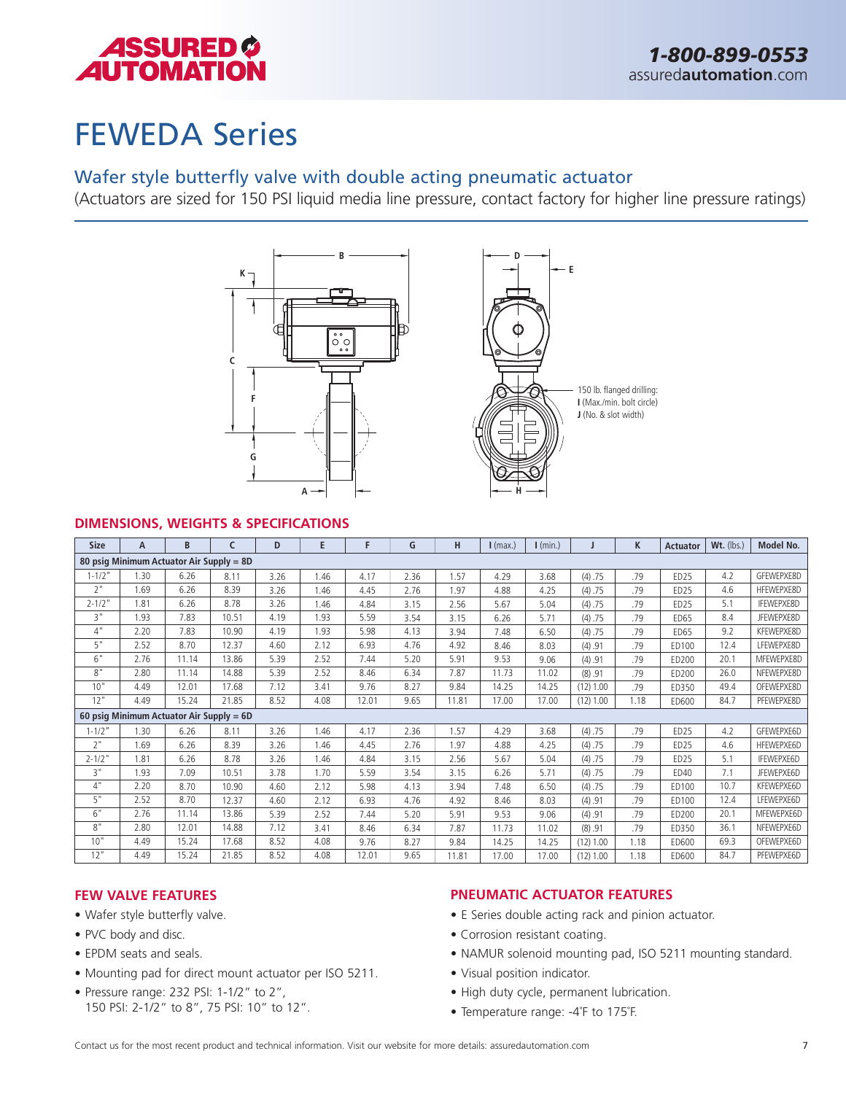

# FEWEDA Series

### Wafer style butterfly valve with double acting pneumatic actuator

(Actuators are sized for 150 PSI liquid media line pressure, contact factory for higher line pressure ratings)



#### **DIMENSIONS, WEIGHTS & SPECIFICATIONS**

| <b>Size</b> | A    | B                                        |       | D    | E    | F     | G    | H     | $\mathsf{I}$ (max.) | $\mathsf{I}$ (min.) |             | K    | <b>Actuator</b>  | $Wt.$ (lbs.) | Model No.         |
|-------------|------|------------------------------------------|-------|------|------|-------|------|-------|---------------------|---------------------|-------------|------|------------------|--------------|-------------------|
|             |      | 80 psig Minimum Actuator Air Supply = 8D |       |      |      |       |      |       |                     |                     |             |      |                  |              |                   |
| $1 - 1/2"$  | 1.30 | 6.26                                     | 8.11  | 3.26 | 1.46 | 4.17  | 2.36 | 1.57  | 4.29                | 3.68                | (4) .75     | .79  | ED <sub>25</sub> | 4.2          | GFEWEPXE8D        |
| 2"          | 1.69 | 6.26                                     | 8.39  | 3.26 | 1.46 | 4.45  | 2.76 | 1.97  | 4.88                | 4.25                | (4) .75     | .79  | ED25             | 4.6          | HFEWEPXE8D        |
| $2 - 1/2$ " | 1.81 | 6.26                                     | 8.78  | 3.26 | 1.46 | 4.84  | 3.15 | 2.56  | 5.67                | 5.04                | (4) .75     | .79  | ED25             | 5.1          | <b>IFEWEPXE8D</b> |
| 3"          | 1.93 | 7.83                                     | 10.51 | 4.19 | 1.93 | 5.59  | 3.54 | 3.15  | 6.26                | 5.71                | (4) .75     | .79  | <b>ED65</b>      | 8.4          | JFEWEPXE8D        |
| 4"          | 2.20 | 7.83                                     | 10.90 | 4.19 | 1.93 | 5.98  | 4.13 | 3.94  | 7.48                | 6.50                | (4) .75     | .79  | <b>ED65</b>      | 9.2          | KFEWEPXE8D        |
| 5"          | 2.52 | 8.70                                     | 12.37 | 4.60 | 2.12 | 6.93  | 4.76 | 4.92  | 8.46                | 8.03                | (4) .91     | .79  | ED100            | 12.4         | LFEWEPXE8D        |
| 6"          | 2.76 | 11.14                                    | 13.86 | 5.39 | 2.52 | 7.44  | 5.20 | 5.91  | 9.53                | 9.06                | (4) .91     | .79  | ED200            | 20.1         | MFEWEPXE8D        |
| 8"          | 2.80 | 11.14                                    | 14.88 | 5.39 | 2.52 | 8.46  | 6.34 | 7.87  | 11.73               | 11.02               | (8) .91     | .79  | <b>ED200</b>     | 26.0         | NFEWEPXE8D        |
| 10"         | 4.49 | 12.01                                    | 17.68 | 7.12 | 3.41 | 9.76  | 8.27 | 9.84  | 14.25               | 14.25               | (12) 1.00   | .79  | <b>FD350</b>     | 49.4         | OFEWEPXE8D        |
| 12"         | 4.49 | 15.24                                    | 21.85 | 8.52 | 4.08 | 12.01 | 9.65 | 11.81 | 17.00               | 17.00               | (12) 1.00   | 1.18 | ED600            | 84.7         | PFEWEPXE8D        |
|             |      | 60 psig Minimum Actuator Air Supply = 6D |       |      |      |       |      |       |                     |                     |             |      |                  |              |                   |
| $1 - 1/2"$  | 1.30 | 6.26                                     | 8.11  | 3.26 | 1.46 | 4.17  | 2.36 | 1.57  | 4.29                | 3.68                | (4) .75     | .79  | ED <sub>25</sub> | 4.2          | GFEWEPXE6D        |
| 2"          | 1.69 | 6.26                                     | 8.39  | 3.26 | 1.46 | 4.45  | 2.76 | 1.97  | 4.88                | 4.25                | (4) .75     | .79  | ED <sub>25</sub> | 4.6          | HFEWEPXE6D        |
| $2 - 1/2$ " | 1.81 | 6.26                                     | 8.78  | 3.26 | 1.46 | 4.84  | 3.15 | 2.56  | 5.67                | 5.04                | (4) .75     | .79  | ED25             | 5.1          | <b>IFEWEPXE6D</b> |
| 3"          | 1.93 | 7.09                                     | 10.51 | 3.78 | 1.70 | 5.59  | 3.54 | 3.15  | 6.26                | 5.71                | (4) .75     | .79  | <b>FD40</b>      | 7.1          | JFEWEPXE6D        |
| 4"          | 2.20 | 8.70                                     | 10.90 | 4.60 | 2.12 | 5.98  | 4.13 | 3.94  | 7.48                | 6.50                | (4) .75     | .79  | ED100            | 10.7         | KFEWEPXE6D        |
| 5"          | 2.52 | 8.70                                     | 12.37 | 4.60 | 2.12 | 6.93  | 4.76 | 4.92  | 8.46                | 8.03                | (4) .91     | .79  | <b>ED100</b>     | 12.4         | LFEWEPXE6D        |
| 6"          | 2.76 | 11.14                                    | 13.86 | 5.39 | 2.52 | 7.44  | 5.20 | 5.91  | 9.53                | 9.06                | (4) .91     | .79  | ED200            | 20.1         | MFEWEPXE6D        |
| 8"          | 2.80 | 12.01                                    | 14.88 | 7.12 | 3.41 | 8.46  | 6.34 | 7.87  | 11.73               | 11.02               | (8) .91     | .79  | ED350            | 36.1         | NFEWEPXE6D        |
| 10"         | 4.49 | 15.24                                    | 17.68 | 8.52 | 4.08 | 9.76  | 8.27 | 9.84  | 14.25               | 14.25               | $(12)$ 1.00 | 1.18 | ED600            | 69.3         | OFEWEPXE6D        |
| 12"         | 4.49 | 15.24                                    | 21.85 | 8.52 | 4.08 | 12.01 | 9.65 | 11.81 | 17.00               | 17.00               | $(12)$ 1.00 | 1.18 | ED600            | 84.7         | PFEWEPXE6D        |

#### **FEW VALVE FEATURES**

- Wafer style butterfly valve.
- PVC body and disc.
- EPDM seats and seals.
- Mounting pad for direct mount actuator per ISO 5211.
- Pressure range: 232 PSI: 1-1/2" to 2", 150 PSI: 2-1/2" to 8", 75 PSI: 10" to 12".

- E Series double acting rack and pinion actuator.
- Corrosion resistant coating.
- NAMUR solenoid mounting pad, ISO 5211 mounting standard.
- Visual position indicator.
- High duty cycle, permanent lubrication.
- Temperature range: -4˚F to 175˚F.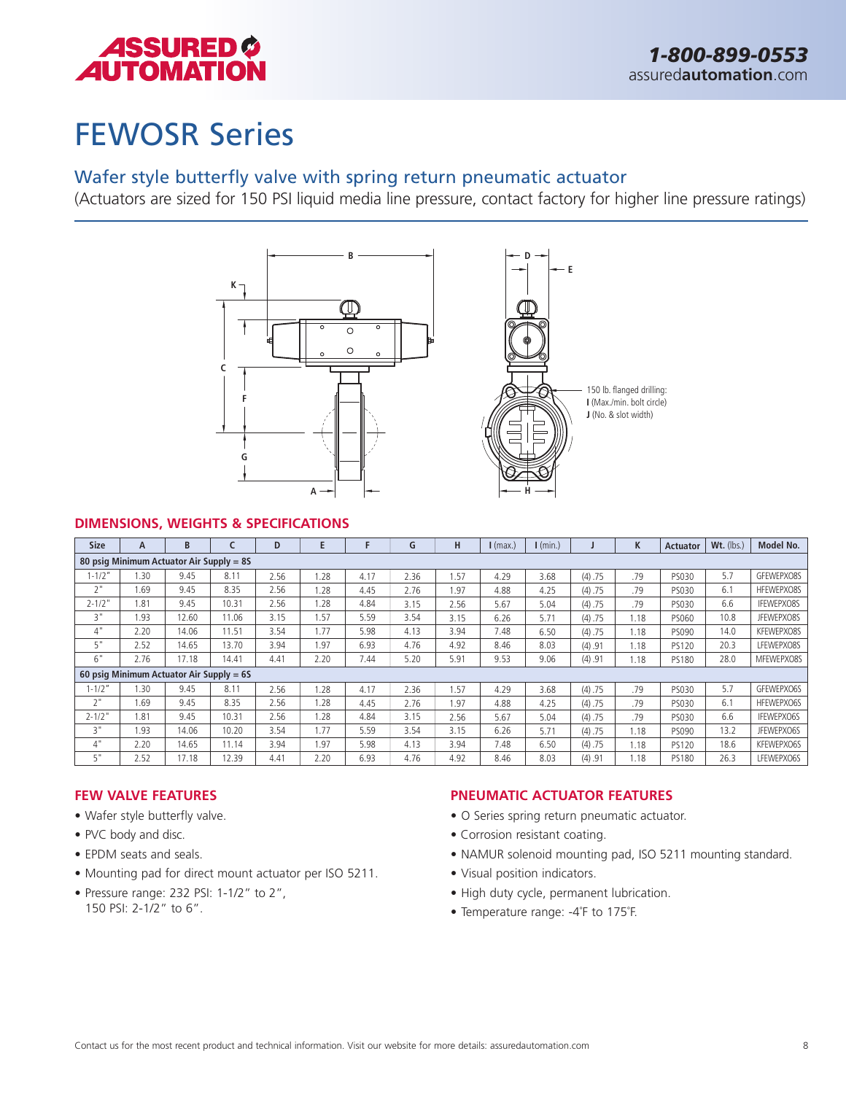

# FEWOSR Series

### Wafer style butterfly valve with spring return pneumatic actuator

(Actuators are sized for 150 PSI liquid media line pressure, contact factory for higher line pressure ratings)



#### **DIMENSIONS, WEIGHTS & SPECIFICATIONS**

| <b>Size</b> | А    | B                                          |       | D    |      |      | G    | н    | $I$ (max.) | $\mathsf{I}$ (min.) |         | K    | <b>Actuator</b> | Wt. (lbs.) | Model No.         |
|-------------|------|--------------------------------------------|-------|------|------|------|------|------|------------|---------------------|---------|------|-----------------|------------|-------------------|
|             |      | 80 psig Minimum Actuator Air Supply = 85   |       |      |      |      |      |      |            |                     |         |      |                 |            |                   |
| $1 - 1/2"$  | 1.30 | 9.45                                       | 8.11  | 2.56 | .28  | 4.17 | 2.36 | 1.57 | 4.29       | 3.68                | (4) .75 | .79  | PS030           | 5.7        | GFEWEPXO8S        |
| 2"          | 1.69 | 9.45                                       | 8.35  | 2.56 | .28  | 4.45 | 2.76 | 1.97 | 4.88       | 4.25                | (4) .75 | .79  | PS030           | 6.1        | HFEWEPXO8S        |
| $2 - 1/2$ " | 1.81 | 9.45                                       | 10.31 | 2.56 | .28  | 4.84 | 3.15 | 2.56 | 5.67       | 5.04                | (4) .75 | .79  | PS030           | 6.6        | <b>IFEWEPXO8S</b> |
| 3"          | 1.93 | 12.60                                      | 11.06 | 3.15 | i.57 | 5.59 | 3.54 | 3.15 | 6.26       | 5.71                | (4) .75 | 1.18 | PS060           | 10.8       | JFEWEPXO8S        |
| 4"          | 2.20 | 14.06                                      | 11.51 | 3.54 | 1.77 | 5.98 | 4.13 | 3.94 | 7.48       | 6.50                | (4) .75 | 1.18 | PS090           | 14.0       | KFEWEPXO8S        |
| 5"          | 2.52 | 14.65                                      | 13.70 | 3.94 | 1.97 | 6.93 | 4.76 | 4.92 | 8.46       | 8.03                | (4) .91 | 1.18 | PS120           | 20.3       | LFEWEPXO8S        |
| 6"          | 2.76 | 17.18                                      | 14.41 | 4.41 | 2.20 | 7.44 | 5.20 | 5.91 | 9.53       | 9.06                | (4) .91 | 1.18 | <b>PS180</b>    | 28.0       | MFEWEPXO8S        |
|             |      | 60 psig Minimum Actuator Air Supply = $65$ |       |      |      |      |      |      |            |                     |         |      |                 |            |                   |
| $1 - 1/2"$  | 1.30 | 9.45                                       | 8.11  | 2.56 | .28  | 4.17 | 2.36 | 1.57 | 4.29       | 3.68                | (4) .75 | .79  | <b>PS030</b>    | 5.7        | GFEWEPXO6S        |
| 2"          | 1.69 | 9.45                                       | 8.35  | 2.56 | .28  | 4.45 | 2.76 | 1.97 | 4.88       | 4.25                | (4) .75 | .79  | <b>PS030</b>    | 6.1        | HFEWEPXO6S        |
| $2 - 1/2$ " | 1.81 | 9.45                                       | 10.31 | 2.56 | .28  | 4.84 | 3.15 | 2.56 | 5.67       | 5.04                | (4) .75 | .79  | PS030           | 6.6        | <b>IFEWEPXO6S</b> |
| 3"          | 1.93 | 14.06                                      | 10.20 | 3.54 | 1.77 | 5.59 | 3.54 | 3.15 | 6.26       | 5.71                | (4) .75 | 1.18 | PS090           | 13.2       | JFEWEPXO6S        |
| 4"          | 2.20 | 14.65                                      | 11.14 | 3.94 | 1.97 | 5.98 | 4.13 | 3.94 | 7.48       | 6.50                | (4) .75 | 1.18 | PS120           | 18.6       | KFEWEPXO6S        |
| 5"          | 2.52 | 17.18                                      | 12.39 | 4.41 | 2.20 | 6.93 | 4.76 | 4.92 | 8.46       | 8.03                | (4) .91 | 1.18 | <b>PS180</b>    | 26.3       | LFEWEPXO6S        |

#### **FEW VALVE FEATURES**

- Wafer style butterfly valve.
- PVC body and disc.
- EPDM seats and seals.
- Mounting pad for direct mount actuator per ISO 5211.
- Pressure range: 232 PSI: 1-1/2" to 2", 150 PSI: 2-1/2" to 6".

- O Series spring return pneumatic actuator.
- Corrosion resistant coating.
- NAMUR solenoid mounting pad, ISO 5211 mounting standard.
- Visual position indicators.
- High duty cycle, permanent lubrication.
- Temperature range: -4˚F to 175˚F.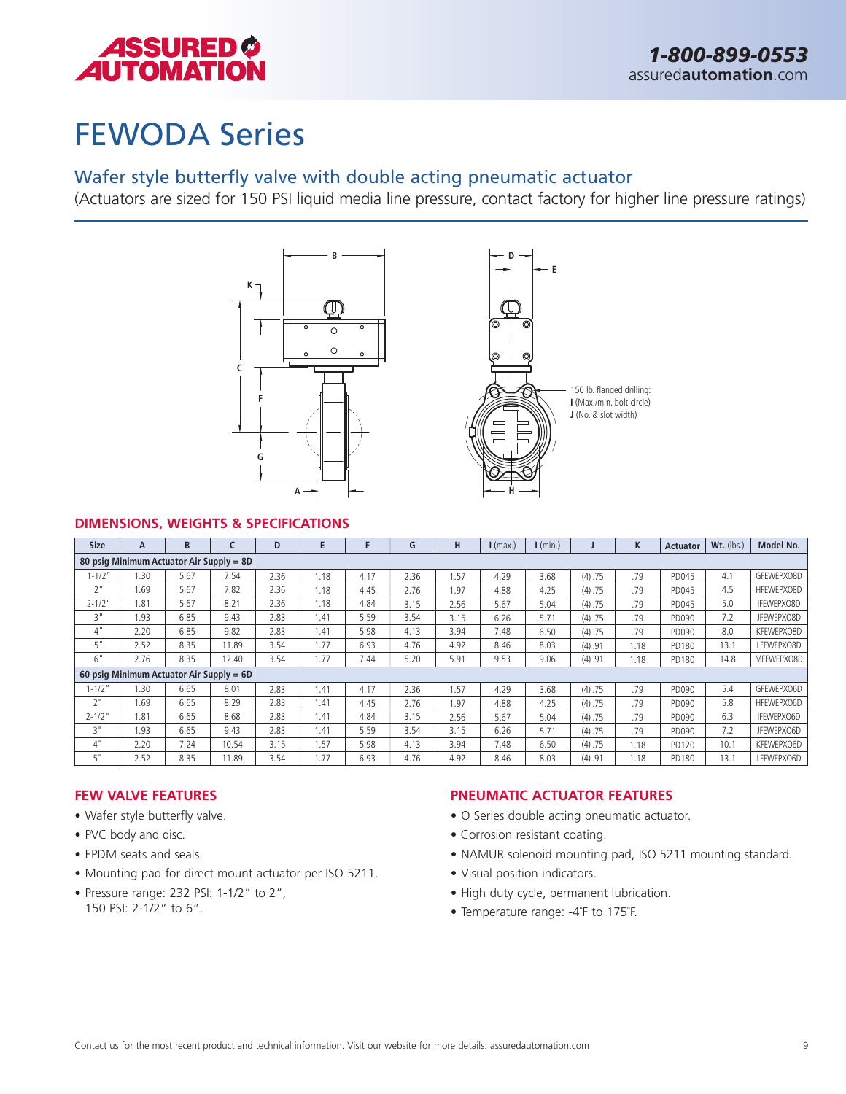

# FEWODA Series

### Wafer style butterfly valve with double acting pneumatic actuator

(Actuators are sized for 150 PSI liquid media line pressure, contact factory for higher line pressure ratings)





#### **DIMENSIONS, WEIGHTS & SPECIFICATIONS**

| <b>Size</b> | A                                        | B    |       | D    | E    |      | G    | H    | $\mathsf{I}$ (max.) | $\mathsf{I}$ (min.) |         | K    | <b>Actuator</b> | Wt. (lbs.) | Model No.  |
|-------------|------------------------------------------|------|-------|------|------|------|------|------|---------------------|---------------------|---------|------|-----------------|------------|------------|
|             | 80 psig Minimum Actuator Air Supply = 8D |      |       |      |      |      |      |      |                     |                     |         |      |                 |            |            |
| $1 - 1/2"$  | 1.30                                     | 5.67 | 7.54  | 2.36 | l.18 | 4.17 | 2.36 | 1.57 | 4.29                | 3.68                | (4) .75 | .79  | PD045           | 4.1        | GFEWEPXO8D |
| 2"          | 1.69                                     | 5.67 | 7.82  | 2.36 | 1.18 | 4.45 | 2.76 | 1.97 | 4.88                | 4.25                | (4) .75 | .79  | PD045           | 4.5        | HFEWEPXO8D |
| $2 - 1/2"$  | 1.81                                     | 5.67 | 8.21  | 2.36 | 1.18 | 4.84 | 3.15 | 2.56 | 5.67                | 5.04                | (4) .75 | .79  | PD045           | 5.0        | IFEWEPXO8D |
| 3"          | 1.93                                     | 6.85 | 9.43  | 2.83 | 1.41 | 5.59 | 3.54 | 3.15 | 6.26                | 5.71                | (4) .75 | .79  | PD090           | 7.2        | JFEWEPXO8D |
| 4"          | 2.20                                     | 6.85 | 9.82  | 2.83 | 1.41 | 5.98 | 4.13 | 3.94 | 7.48                | 6.50                | (4) .75 | .79  | PD090           | 8.0        | KFEWEPXO8D |
| 5"          | 2.52                                     | 8.35 | 11.89 | 3.54 | 1.77 | 6.93 | 4.76 | 4.92 | 8.46                | 8.03                | (4) .91 | 1.18 | PD180           | 13.1       | LFEWEPXO8D |
| 6"          | 2.76                                     | 8.35 | 12.40 | 3.54 | 1.77 | 7.44 | 5.20 | 5.91 | 9.53                | 9.06                | (4) .91 | 1.18 | PD180           | 14.8       | MFEWEPXO8D |
|             | 60 psig Minimum Actuator Air Supply = 6D |      |       |      |      |      |      |      |                     |                     |         |      |                 |            |            |
| $1 - 1/2"$  | 1.30                                     | 6.65 | 8.01  | 2.83 | l.41 | 4.17 | 2.36 | 1.57 | 4.29                | 3.68                | (4) .75 | .79  | PD090           | 5.4        | GFEWEPXO6D |
| 2"          | 1.69                                     | 6.65 | 8.29  | 2.83 | .41  | 4.45 | 2.76 | 1.97 | 4.88                | 4.25                | (4) .75 | .79  | PD090           | 5.8        | HFEWEPXO6D |
| $2 - 1/2$ " | 1.81                                     | 6.65 | 8.68  | 2.83 | 1.41 | 4.84 | 3.15 | 2.56 | 5.67                | 5.04                | (4) .75 | .79  | PD090           | 6.3        | IFEWEPXO6D |
| ς"          | 1.93                                     | 6.65 | 9.43  | 2.83 | .41  | 5.59 | 3.54 | 3.15 | 6.26                | 5.71                | (4) .75 | .79  | PD090           | 7.2        | JFEWEPXO6D |
| 4"          | 2.20                                     | 7.24 | 10.54 | 3.15 | 1.57 | 5.98 | 4.13 | 3.94 | 7.48                | 6.50                | (4) .75 | 1.18 | PD120           | 10.1       | KFEWEPXO6D |
| 5"          | 2.52                                     | 8.35 | 11.89 | 3.54 | 1.77 | 6.93 | 4.76 | 4.92 | 8.46                | 8.03                | (4) .91 | 1.18 | PD180           | 13.1       | LFEWEPXO6D |

#### **FEW VALVE FEATURES**

- Wafer style butterfly valve.
- PVC body and disc.
- EPDM seats and seals.
- Mounting pad for direct mount actuator per ISO 5211.
- Pressure range: 232 PSI: 1-1/2" to 2", 150 PSI: 2-1/2" to 6".

- O Series double acting pneumatic actuator.
- Corrosion resistant coating.
- NAMUR solenoid mounting pad, ISO 5211 mounting standard.
- Visual position indicators.
- High duty cycle, permanent lubrication.
- Temperature range: -4˚F to 175˚F.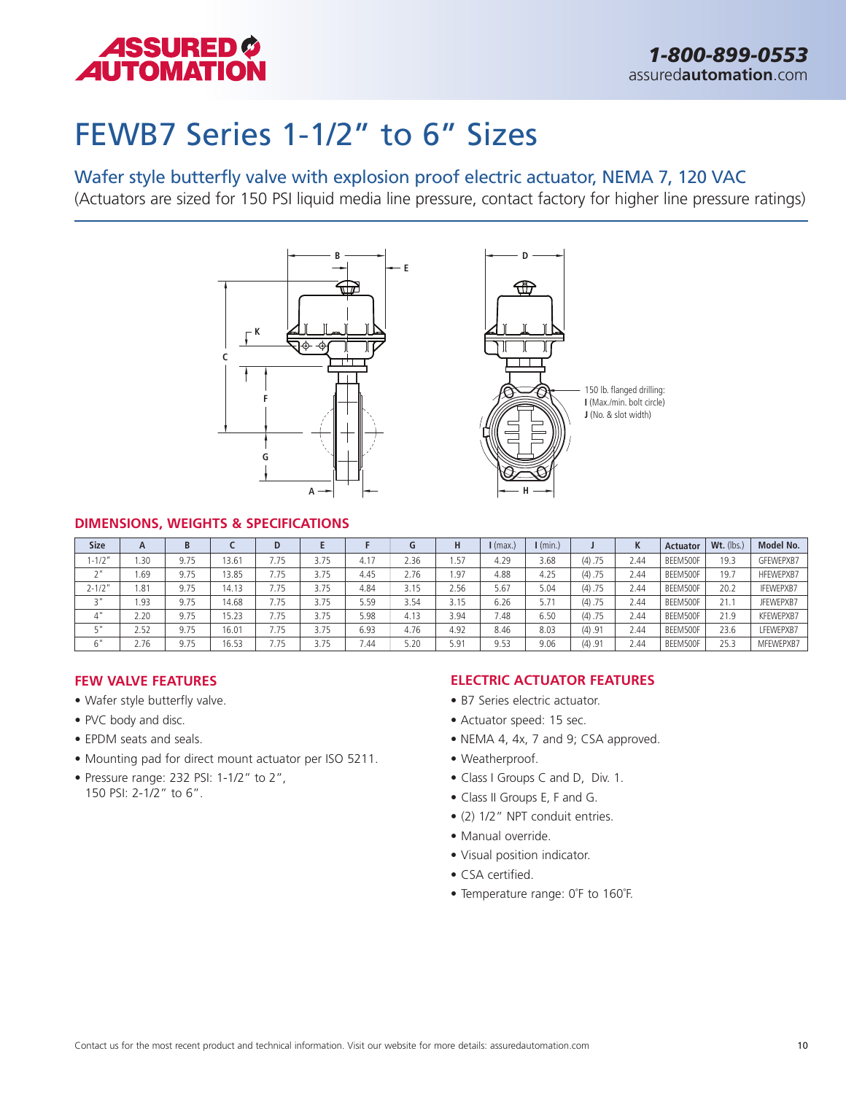

### FEWB7 Series 1-1/2" to 6" Sizes

### Wafer style butterfly valve with explosion proof electric actuator, NEMA 7, 120 VAC

(Actuators are sized for 150 PSI liquid media line pressure, contact factory for higher line pressure ratings)



#### **DIMENSIONS, WEIGHTS & SPECIFICATIONS**

| <b>Size</b>  | A          | B    |       | D    |      |      | G    | Н                | $\mathsf{I}$ (max.) | $\mathsf{I}$ (min.) |         | K    | Actuator | Wt. (lbs.) | Model No.        |
|--------------|------------|------|-------|------|------|------|------|------------------|---------------------|---------------------|---------|------|----------|------------|------------------|
| $1 - 1/2$    | .30        | 9.75 | 13.61 | 7.75 | 3.75 | 4.17 | 2.36 | <sub>1</sub> .57 | 4.29                | 3.68                | (4) .75 | 2.44 | BEEM500F | 19.3       | GFEWEPXB7        |
| $\sim$ $\mu$ | <b>69.</b> | 9.75 | 13.85 | 7.75 | 3.75 | 4.45 | 2.76 | .97              | 4.88                | 4.25                | (4) .75 | 2.44 | BEEM500F | 19.7       | HFEWEPXB7        |
| $2 - 1/2$ "  | .81        | 9.75 | 14.13 | 7.75 | 3.75 | 4.84 | 3.15 | 2.56             | 5.67                | 5.04                | (4) .75 | 2.44 | BEEM500F | 20.2       | <b>IFEWEPXB7</b> |
| " ج          | .93        | 9.75 | 14.68 | 7.75 | 3.75 | 5.59 | 3.54 | 3.15             | 6.26                | 5.71                | (4) .75 | 2.44 | BEEM500F | 21.1       | JFEWEPXB7        |
| 4"           | 2.20       | 9.75 | 15.23 | 7.75 | 3.75 | 5.98 | 4.13 | 3.94             | 7.48                | 6.50                | (4) .75 | 2.44 | BEEM500F | 21.9       | KFEWEPXB7        |
| ς"           | 2.52       | 9.75 | 16.01 | 7.75 | 3.75 | 6.93 | 4.76 | 4.92             | 8.46                | 8.03                | (4) .91 | 2.44 | BEEM500F | 23.6       | LFEWEPXB7        |
| 6"           | 2.76       | 9.75 | 16.53 | 7.75 | 3.75 | '.44 | 5.20 | 5.91             | 9.53                | 9.06                | (4) .91 | 2.44 | BEEM500F | 25.3       | MFEWEPXB7        |

#### **FEW VALVE FEATURES**

- Wafer style butterfly valve.
- PVC body and disc.
- EPDM seats and seals.
- Mounting pad for direct mount actuator per ISO 5211.
- Pressure range: 232 PSI: 1-1/2" to 2", 150 PSI: 2-1/2" to 6".

- B7 Series electric actuator.
- Actuator speed: 15 sec.
- NEMA 4, 4x, 7 and 9; CSA approved.
- Weatherproof.
- Class I Groups C and D, Div. 1.
- Class II Groups E, F and G.
- (2) 1/2" NPT conduit entries.
- Manual override.
- Visual position indicator.
- CSA certified.
- Temperature range: 0˚F to 160˚F.